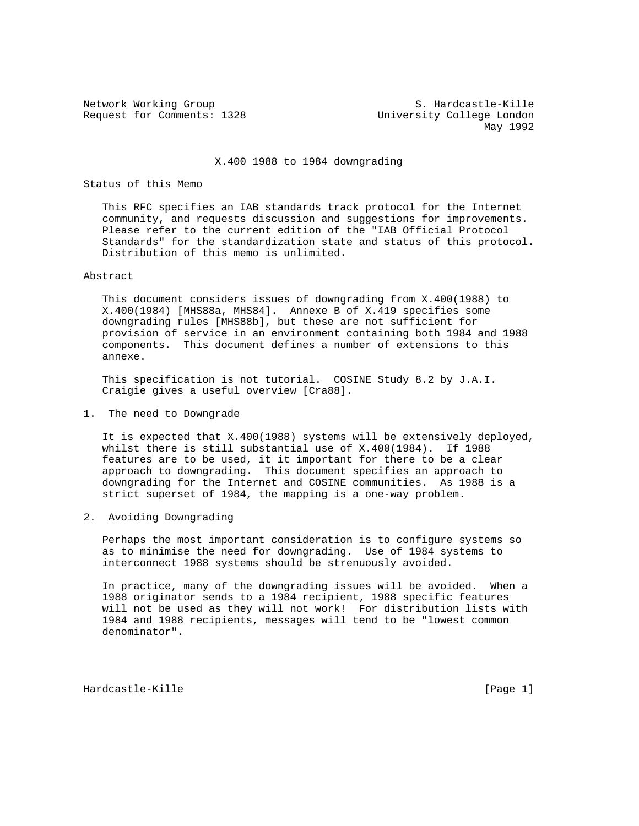Request for Comments: 1328 University College London

Network Working Group S. Hardcastle-Kille May 1992

# X.400 1988 to 1984 downgrading

# Status of this Memo

 This RFC specifies an IAB standards track protocol for the Internet community, and requests discussion and suggestions for improvements. Please refer to the current edition of the "IAB Official Protocol Standards" for the standardization state and status of this protocol. Distribution of this memo is unlimited.

#### Abstract

 This document considers issues of downgrading from X.400(1988) to X.400(1984) [MHS88a, MHS84]. Annexe B of X.419 specifies some downgrading rules [MHS88b], but these are not sufficient for provision of service in an environment containing both 1984 and 1988 components. This document defines a number of extensions to this annexe.

 This specification is not tutorial. COSINE Study 8.2 by J.A.I. Craigie gives a useful overview [Cra88].

# 1. The need to Downgrade

 It is expected that X.400(1988) systems will be extensively deployed, whilst there is still substantial use of X.400(1984). If 1988 features are to be used, it it important for there to be a clear approach to downgrading. This document specifies an approach to downgrading for the Internet and COSINE communities. As 1988 is a strict superset of 1984, the mapping is a one-way problem.

#### 2. Avoiding Downgrading

 Perhaps the most important consideration is to configure systems so as to minimise the need for downgrading. Use of 1984 systems to interconnect 1988 systems should be strenuously avoided.

 In practice, many of the downgrading issues will be avoided. When a 1988 originator sends to a 1984 recipient, 1988 specific features will not be used as they will not work! For distribution lists with 1984 and 1988 recipients, messages will tend to be "lowest common denominator".

Hardcastle-Kille [Page 1]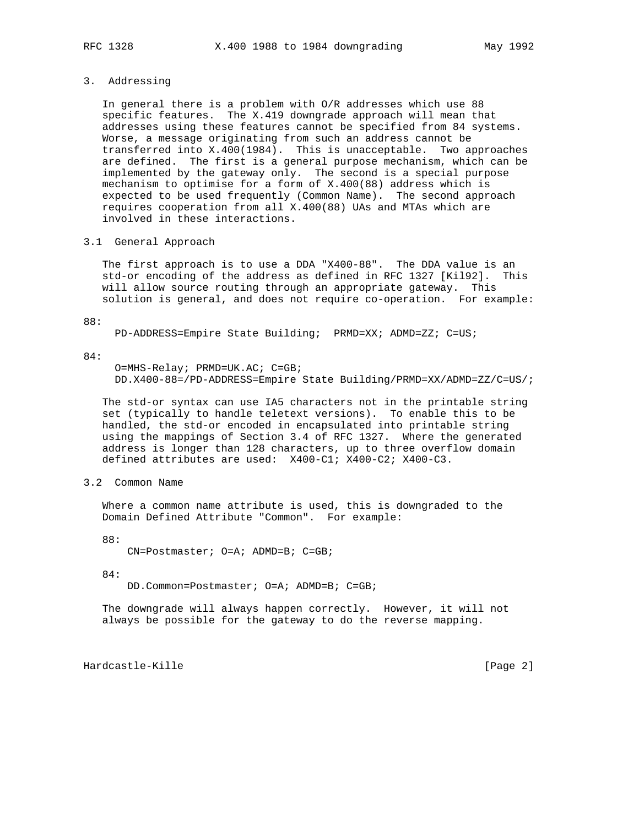#### 3. Addressing

 In general there is a problem with O/R addresses which use 88 specific features. The X.419 downgrade approach will mean that addresses using these features cannot be specified from 84 systems. Worse, a message originating from such an address cannot be transferred into X.400(1984). This is unacceptable. Two approaches are defined. The first is a general purpose mechanism, which can be implemented by the gateway only. The second is a special purpose mechanism to optimise for a form of X.400(88) address which is expected to be used frequently (Common Name). The second approach requires cooperation from all X.400(88) UAs and MTAs which are involved in these interactions.

### 3.1 General Approach

 The first approach is to use a DDA "X400-88". The DDA value is an std-or encoding of the address as defined in RFC 1327 [Kil92]. This will allow source routing through an appropriate gateway. This solution is general, and does not require co-operation. For example:

88:

PD-ADDRESS=Empire State Building; PRMD=XX; ADMD=ZZ; C=US;

84:

```
 O=MHS-Relay; PRMD=UK.AC; C=GB;
DD.X400-88=/PD-ADDRESS=Empire State Building/PRMD=XX/ADMD=ZZ/C=US/;
```
 The std-or syntax can use IA5 characters not in the printable string set (typically to handle teletext versions). To enable this to be handled, the std-or encoded in encapsulated into printable string using the mappings of Section 3.4 of RFC 1327. Where the generated address is longer than 128 characters, up to three overflow domain defined attributes are used: X400-C1; X400-C2; X400-C3.

3.2 Common Name

 Where a common name attribute is used, this is downgraded to the Domain Defined Attribute "Common". For example:

88:

CN=Postmaster; O=A; ADMD=B; C=GB;

84:

DD.Common=Postmaster; O=A; ADMD=B; C=GB;

 The downgrade will always happen correctly. However, it will not always be possible for the gateway to do the reverse mapping.

Hardcastle-Kille [Page 2]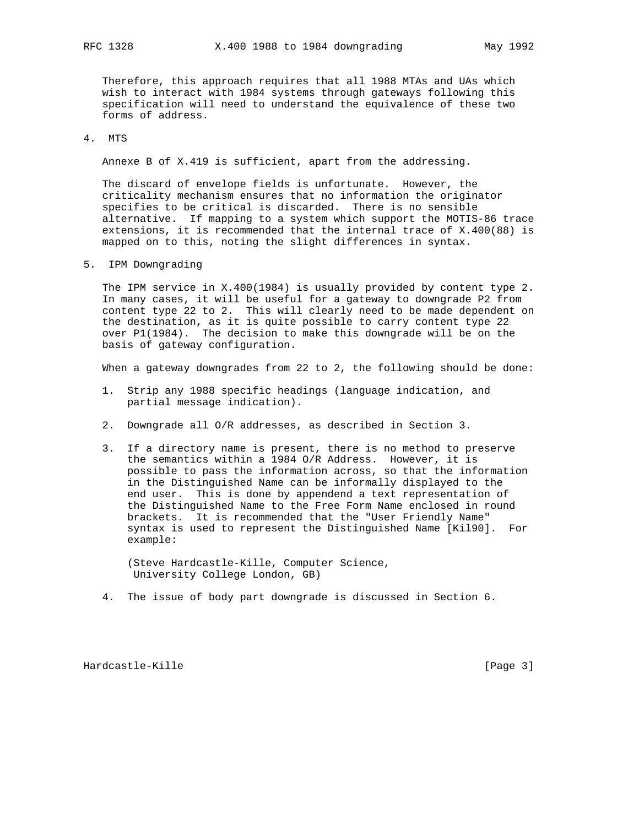Therefore, this approach requires that all 1988 MTAs and UAs which wish to interact with 1984 systems through gateways following this specification will need to understand the equivalence of these two forms of address.

4. MTS

Annexe B of X.419 is sufficient, apart from the addressing.

 The discard of envelope fields is unfortunate. However, the criticality mechanism ensures that no information the originator specifies to be critical is discarded. There is no sensible alternative. If mapping to a system which support the MOTIS-86 trace extensions, it is recommended that the internal trace of X.400(88) is mapped on to this, noting the slight differences in syntax.

5. IPM Downgrading

 The IPM service in X.400(1984) is usually provided by content type 2. In many cases, it will be useful for a gateway to downgrade P2 from content type 22 to 2. This will clearly need to be made dependent on the destination, as it is quite possible to carry content type 22 over P1(1984). The decision to make this downgrade will be on the basis of gateway configuration.

When a gateway downgrades from 22 to 2, the following should be done:

- 1. Strip any 1988 specific headings (language indication, and partial message indication).
- 2. Downgrade all O/R addresses, as described in Section 3.
- 3. If a directory name is present, there is no method to preserve the semantics within a 1984 O/R Address. However, it is possible to pass the information across, so that the information in the Distinguished Name can be informally displayed to the end user. This is done by appendend a text representation of the Distinguished Name to the Free Form Name enclosed in round brackets. It is recommended that the "User Friendly Name" syntax is used to represent the Distinguished Name [Kil90]. For example:

 (Steve Hardcastle-Kille, Computer Science, University College London, GB)

4. The issue of body part downgrade is discussed in Section 6.

Hardcastle-Kille [Page 3]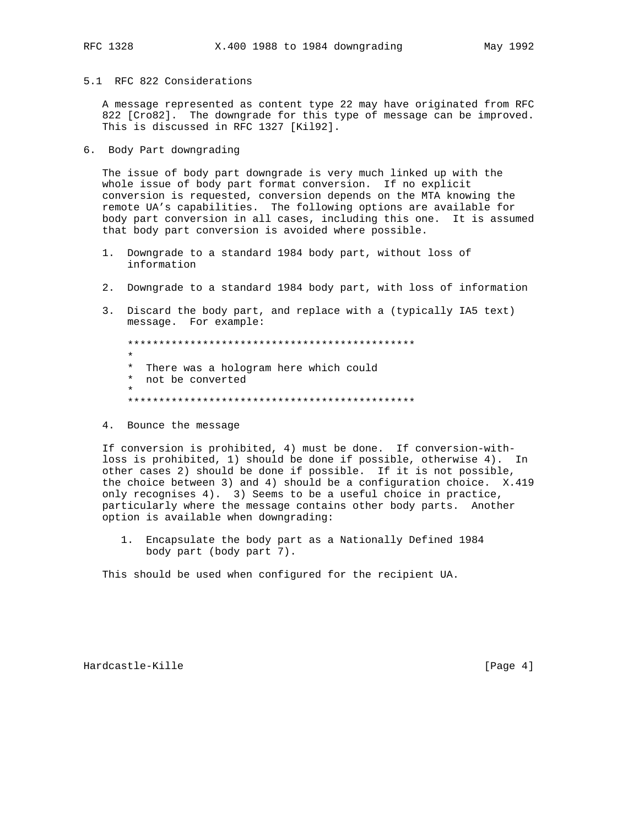5.1 RFC 822 Considerations

 A message represented as content type 22 may have originated from RFC 822 [Cro82]. The downgrade for this type of message can be improved. This is discussed in RFC 1327 [Kil92].

6. Body Part downgrading

 The issue of body part downgrade is very much linked up with the whole issue of body part format conversion. If no explicit conversion is requested, conversion depends on the MTA knowing the remote UA's capabilities. The following options are available for body part conversion in all cases, including this one. It is assumed that body part conversion is avoided where possible.

- 1. Downgrade to a standard 1984 body part, without loss of information
- 2. Downgrade to a standard 1984 body part, with loss of information
- 3. Discard the body part, and replace with a (typically IA5 text) message. For example:

 \*\*\*\*\*\*\*\*\*\*\*\*\*\*\*\*\*\*\*\*\*\*\*\*\*\*\*\*\*\*\*\*\*\*\*\*\*\*\*\*\*\*\*\*\*\* \* \* There was a hologram here which could \* not be converted \* \*\*\*\*\*\*\*\*\*\*\*\*\*\*\*\*\*\*\*\*\*\*\*\*\*\*\*\*\*\*\*\*\*\*\*\*\*\*\*\*\*\*\*\*\*\*

4. Bounce the message

 If conversion is prohibited, 4) must be done. If conversion-with loss is prohibited, 1) should be done if possible, otherwise 4). In other cases 2) should be done if possible. If it is not possible, the choice between 3) and 4) should be a configuration choice. X.419 only recognises 4). 3) Seems to be a useful choice in practice, particularly where the message contains other body parts. Another option is available when downgrading:

 1. Encapsulate the body part as a Nationally Defined 1984 body part (body part 7).

This should be used when configured for the recipient UA.

Hardcastle-Kille [Page 4]